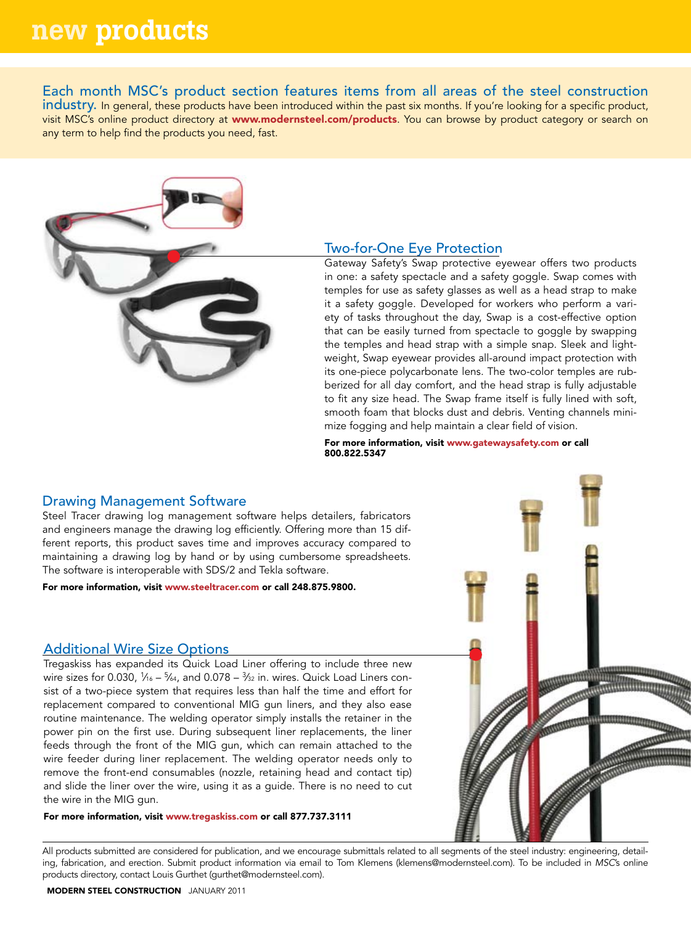# new products

Each month MSC's product section features items from all areas of the steel construction industry. In general, these products have been introduced within the past six months. If you're looking for a specific product, visit MSC's online product directory at www.modernsteel.com/products. You can browse by product category or search on any term to help find the products you need, fast.



# Two-for-One Eye Protection

Gateway Safety's Swap protective eyewear offers two products in one: a safety spectacle and a safety goggle. Swap comes with temples for use as safety glasses as well as a head strap to make it a safety goggle. Developed for workers who perform a variety of tasks throughout the day, Swap is a cost-effective option that can be easily turned from spectacle to goggle by swapping the temples and head strap with a simple snap. Sleek and lightweight, Swap eyewear provides all-around impact protection with its one-piece polycarbonate lens. The two-color temples are rubberized for all day comfort, and the head strap is fully adjustable to fit any size head. The Swap frame itself is fully lined with soft, smooth foam that blocks dust and debris. Venting channels minimize fogging and help maintain a clear field of vision.

For more information, visit www.gatewaysafety.com or call 800.822.5347

# Drawing Management Software

Steel Tracer drawing log management software helps detailers, fabricators and engineers manage the drawing log efficiently. Offering more than 15 different reports, this product saves time and improves accuracy compared to maintaining a drawing log by hand or by using cumbersome spreadsheets. The software is interoperable with SDS/2 and Tekla software.

For more information, visit www.steeltracer.com or call 248.875.9800.

#### Additional Wire Size Options

Tregaskiss has expanded its Quick Load Liner offering to include three new wire sizes for 0.030, 1⁄16 – <sup>5</sup>⁄64, and 0.078 – <sup>3</sup>⁄32 in. wires. Quick Load Liners consist of a two-piece system that requires less than half the time and effort for replacement compared to conventional MIG gun liners, and they also ease routine maintenance. The welding operator simply installs the retainer in the power pin on the first use. During subsequent liner replacements, the liner feeds through the front of the MIG gun, which can remain attached to the wire feeder during liner replacement. The welding operator needs only to remove the front-end consumables (nozzle, retaining head and contact tip) and slide the liner over the wire, using it as a guide. There is no need to cut the wire in the MIG gun.

For more information, visit www.tregaskiss.com or call 877.737.3111

\*\*\*\*\*\*\*\*\*\*\*

All products submitted are considered for publication, and we encourage submittals related to all segments of the steel industry: engineering, detailing, fabrication, and erection. Submit product information via email to Tom Klemens (klemens@modernsteel.com). To be included in *MSC*'s online products directory, contact Louis Gurthet (gurthet@modernsteel.com).